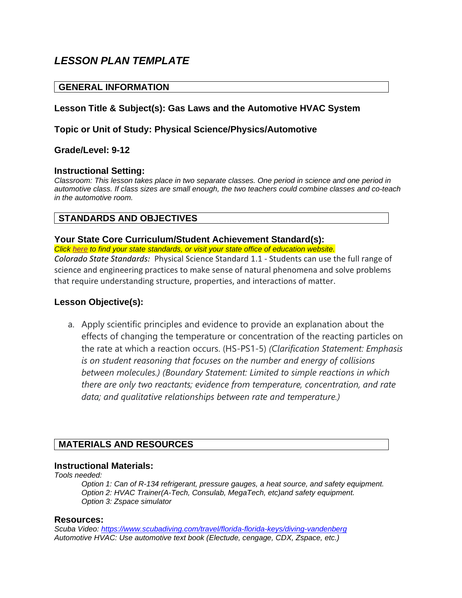# *LESSON PLAN TEMPLATE*

# **GENERAL INFORMATION**

# **Lesson Title & Subject(s): Gas Laws and the Automotive HVAC System**

# **Topic or Unit of Study: Physical Science/Physics/Automotive**

### **Grade/Level: 9-12**

### **Instructional Setting:**

*Classroom: This lesson takes place in two separate classes. One period in science and one period in automotive class. If class sizes are small enough, the two teachers could combine classes and co-teach in the automotive room.* 

# **STANDARDS AND OBJECTIVES**

### **Your State Core Curriculum/Student Achievement Standard(s):**

*Click [here](https://sites.google.com/a/wgu.edu/state-specific-information/) to find your state standards, or visit your state office of education website. Colorado State Standards:* Physical Science Standard 1.1 - Students can use the full range of science and engineering practices to make sense of natural phenomena and solve problems that require understanding structure, properties, and interactions of matter.

# **Lesson Objective(s):**

a. Apply scientific principles and evidence to provide an explanation about the effects of changing the temperature or concentration of the reacting particles on the rate at which a reaction occurs. (HS-PS1-5) *(Clarification Statement: Emphasis is on student reasoning that focuses on the number and energy of collisions between molecules.) (Boundary Statement: Limited to simple reactions in which there are only two reactants; evidence from temperature, concentration, and rate data; and qualitative relationships between rate and temperature.)*

# **MATERIALS AND RESOURCES**

#### **Instructional Materials:**

*Tools needed:*

*Option 1: Can of R-134 refrigerant, pressure gauges, a heat source, and safety equipment. Option 2: HVAC Trainer(A-Tech, Consulab, MegaTech, etc)and safety equipment. Option 3: Zspace simulator*

#### **Resources:**

*Scuba Video:<https://www.scubadiving.com/travel/florida-florida-keys/diving-vandenberg> Automotive HVAC: Use automotive text book (Electude, cengage, CDX, Zspace, etc.)*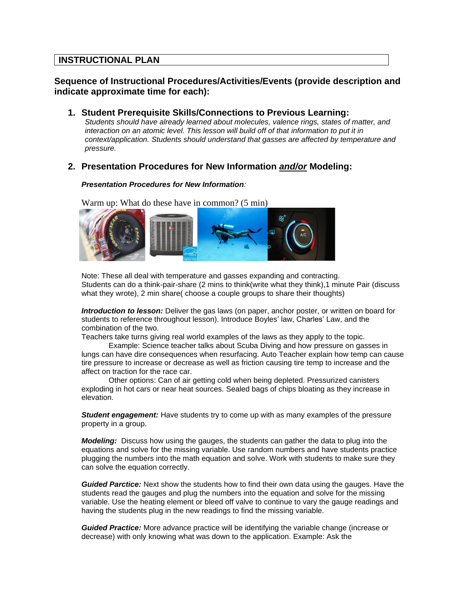# **INSTRUCTIONAL PLAN**

# **Sequence of Instructional Procedures/Activities/Events (provide description and indicate approximate time for each):**

**1. Student Prerequisite Skills/Connections to Previous Learning:** *Students should have already learned about molecules, valence rings, states of matter, and interaction on an atomic level. This lesson will build off of that information to put it in context/application. Students should understand that gasses are affected by temperature and pressure.* 

### **2. Presentation Procedures for New Information** *and/or* **Modeling:**

#### *Presentation Procedures for New Information:*

Warm up: What do these have in common? (5 min)



Note: These all deal with temperature and gasses expanding and contracting. Students can do a think-pair-share (2 mins to think(write what they think),1 minute Pair (discuss what they wrote), 2 min share( choose a couple groups to share their thoughts)

*Introduction to lesson:* Deliver the gas laws (on paper, anchor poster, or written on board for students to reference throughout lesson). Introduce Boyles' law, Charles' Law, and the combination of the two.

Teachers take turns giving real world examples of the laws as they apply to the topic.

Example: Science teacher talks about Scuba Diving and how pressure on gasses in lungs can have dire consequences when resurfacing. Auto Teacher explain how temp can cause tire pressure to increase or decrease as well as friction causing tire temp to increase and the affect on traction for the race car.

Other options: Can of air getting cold when being depleted. Pressurized canisters exploding in hot cars or near heat sources. Sealed bags of chips bloating as they increase in elevation.

*Student engagement:* Have students try to come up with as many examples of the pressure property in a group.

*Modeling:* Discuss how using the gauges, the students can gather the data to plug into the equations and solve for the missing variable. Use random numbers and have students practice plugging the numbers into the math equation and solve. Work with students to make sure they can solve the equation correctly.

*Guided Parctice:* Next show the students how to find their own data using the gauges. Have the students read the gauges and plug the numbers into the equation and solve for the missing variable. Use the heating element or bleed off valve to continue to vary the gauge readings and having the students plug in the new readings to find the missing variable.

*Guided Practice:* More advance practice will be identifying the variable change (increase or decrease) with only knowing what was down to the application. Example: Ask the